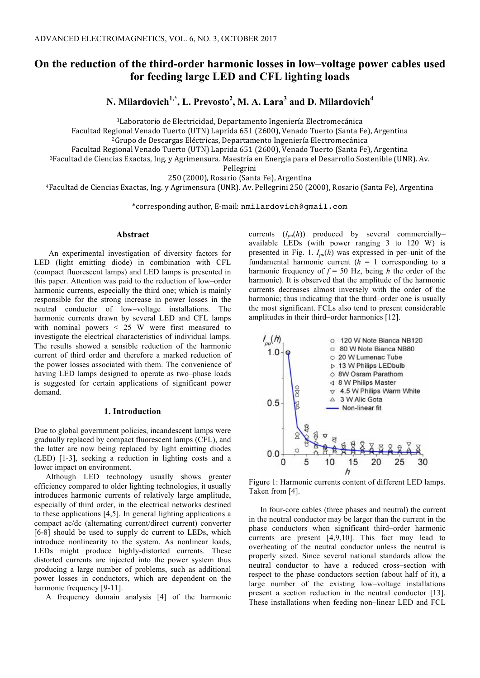# **On the reduction of the third-order harmonic losses in low–voltage power cables used for feeding large LED and CFL lighting loads**

**N. Milardovich1,\*, L. Prevosto2 , M. A. Lara<sup>3</sup> and D. Milardovich<sup>4</sup>**

<sup>1</sup>Laboratorio de Electricidad, Departamento Ingeniería Electromecánica

Facultad Regional Venado Tuerto (UTN) Laprida 651 (2600), Venado Tuerto (Santa Fe), Argentina

<sup>2</sup>Grupo de Descargas Eléctricas, Departamento Ingeniería Electromecánica

Facultad Regional Venado Tuerto (UTN) Laprida 651 (2600), Venado Tuerto (Santa Fe), Argentina

<sup>3</sup>Facultad de Ciencias Exactas, Ing. y Agrimensura. Maestría en Energía para el Desarrollo Sostenible (UNR). Av.

Pellegrini

250 (2000), Rosario (Santa Fe), Argentina

<sup>4</sup>Facultad de Ciencias Exactas, Ing. y Agrimensura (UNR). Av. Pellegrini 250 (2000), Rosario (Santa Fe), Argentina

\*corresponding author, E-mail: nmilardovich@gmail.com

## **Abstract**

An experimental investigation of diversity factors for LED (light emitting diode) in combination with CFL (compact fluorescent lamps) and LED lamps is presented in this paper. Attention was paid to the reduction of low–order harmonic currents, especially the third one; which is mainly responsible for the strong increase in power losses in the neutral conductor of low–voltage installations. The harmonic currents drawn by several LED and CFL lamps with nominal powers < 25 W were first measured to investigate the electrical characteristics of individual lamps. The results showed a sensible reduction of the harmonic current of third order and therefore a marked reduction of the power losses associated with them. The convenience of having LED lamps designed to operate as two–phase loads is suggested for certain applications of significant power demand.

## **1. Introduction**

Due to global government policies, incandescent lamps were gradually replaced by compact fluorescent lamps (CFL), and the latter are now being replaced by light emitting diodes (LED) [1-3], seeking a reduction in lighting costs and a lower impact on environment.

Although LED technology usually shows greater efficiency compared to older lighting technologies, it usually introduces harmonic currents of relatively large amplitude, especially of third order, in the electrical networks destined to these applications [4,5]. In general lighting applications a compact ac/dc (alternating current/direct current) converter [6-8] should be used to supply dc current to LEDs, which introduce nonlinearity to the system. As nonlinear loads, LEDs might produce highly-distorted currents. These distorted currents are injected into the power system thus producing a large number of problems, such as additional power losses in conductors, which are dependent on the harmonic frequency [9-11].

A frequency domain analysis [4] of the harmonic

currents  $(I_{pu}(h))$  produced by several commercially– available LEDs (with power ranging 3 to 120 W) is presented in Fig. 1.  $I_{n\nu}(h)$  was expressed in per–unit of the fundamental harmonic current  $(h = 1$  corresponding to a harmonic frequency of  $f = 50$  Hz, being *h* the order of the harmonic). It is observed that the amplitude of the harmonic currents decreases almost inversely with the order of the harmonic; thus indicating that the third–order one is usually the most significant. FCLs also tend to present considerable amplitudes in their third–order harmonics [12].



Figure 1: Harmonic currents content of different LED lamps. Taken from [4].

In four-core cables (three phases and neutral) the current in the neutral conductor may be larger than the current in the phase conductors when significant third–order harmonic currents are present [4,9,10]. This fact may lead to overheating of the neutral conductor unless the neutral is properly sized. Since several national standards allow the neutral conductor to have a reduced cross–section with respect to the phase conductors section (about half of it), a large number of the existing low–voltage installations present a section reduction in the neutral conductor [13]. These installations when feeding non–linear LED and FCL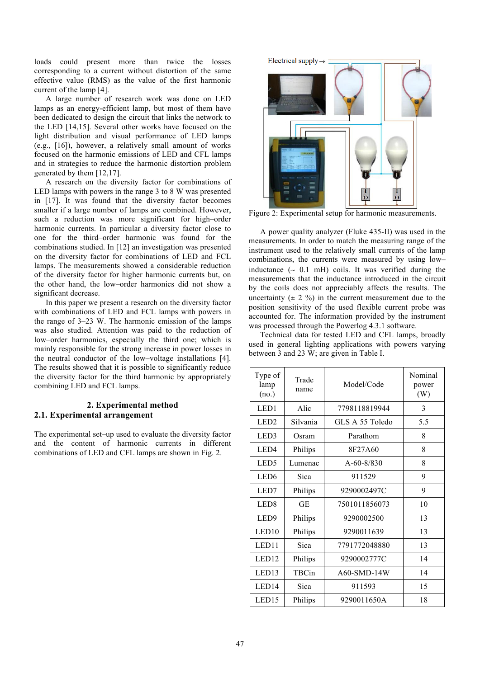loads could present more than twice the losses corresponding to a current without distortion of the same effective value (RMS) as the value of the first harmonic current of the lamp [4].

A large number of research work was done on LED lamps as an energy-efficient lamp, but most of them have been dedicated to design the circuit that links the network to the LED [14,15]. Several other works have focused on the light distribution and visual performance of LED lamps (e.g., [16]), however, a relatively small amount of works focused on the harmonic emissions of LED and CFL lamps and in strategies to reduce the harmonic distortion problem generated by them [12,17].

A research on the diversity factor for combinations of LED lamps with powers in the range 3 to 8 W was presented in [17]. It was found that the diversity factor becomes smaller if a large number of lamps are combined. However, such a reduction was more significant for high–order harmonic currents. In particular a diversity factor close to one for the third–order harmonic was found for the combinations studied. In [12] an investigation was presented on the diversity factor for combinations of LED and FCL lamps. The measurements showed a considerable reduction of the diversity factor for higher harmonic currents but, on the other hand, the low–order harmonics did not show a significant decrease.

In this paper we present a research on the diversity factor with combinations of LED and FCL lamps with powers in the range of 3–23 W. The harmonic emission of the lamps was also studied. Attention was paid to the reduction of low–order harmonics, especially the third one; which is mainly responsible for the strong increase in power losses in the neutral conductor of the low–voltage installations [4]. The results showed that it is possible to significantly reduce the diversity factor for the third harmonic by appropriately combining LED and FCL lamps.

# **2. Experimental method 2.1. Experimental arrangement**

The experimental set–up used to evaluate the diversity factor and the content of harmonic currents in different combinations of LED and CFL lamps are shown in Fig. 2.



Figure 2: Experimental setup for harmonic measurements.

A power quality analyzer (Fluke 435-II) was used in the measurements. In order to match the measuring range of the instrument used to the relatively small currents of the lamp combinations, the currents were measured by using low– inductance (∼ 0.1 mH) coils. It was verified during the measurements that the inductance introduced in the circuit by the coils does not appreciably affects the results. The uncertainty  $(\pm 2 \%)$  in the current measurement due to the position sensitivity of the used flexible current probe was accounted for. The information provided by the instrument was processed through the Powerlog 4.3.1 software.

Technical data for tested LED and CFL lamps, broadly used in general lighting applications with powers varying between 3 and 23 W; are given in Table I.

| Type of<br>lamp<br>(no.) | Trade<br>name | Model/Code       | Nominal<br>power<br>(W) |
|--------------------------|---------------|------------------|-------------------------|
| LED1                     | Alic          | 7798118819944    | 3                       |
| LED <sub>2</sub>         | Silvania      | GLS A 55 Toledo  | 5.5                     |
| LED3                     | Osram         | Parathom         | 8                       |
| LED4                     | Philips       | 8F27A60          | 8                       |
| LED <sub>5</sub>         | Lumenac       | $A - 60 - 8/830$ | 8                       |
| LED <sub>6</sub>         | Sica          | 911529           | 9                       |
| LED7                     | Philips       | 9290002497C      | 9                       |
| LED <sub>8</sub>         | GE            | 7501011856073    | 10                      |
| LED <sub>9</sub>         | Philips       | 9290002500       | 13                      |
| LED10                    | Philips       | 9290011639       | 13                      |
| LED11                    | Sica          | 7791772048880    | 13                      |
| LED12                    | Philips       | 9290002777C      | 14                      |
| LED13                    | TBCin         | $A60-SMD-14W$    | 14                      |
| LED <sub>14</sub>        | Sica          | 911593           | 15                      |
| LED15                    | Philips       | 9290011650A      | 18                      |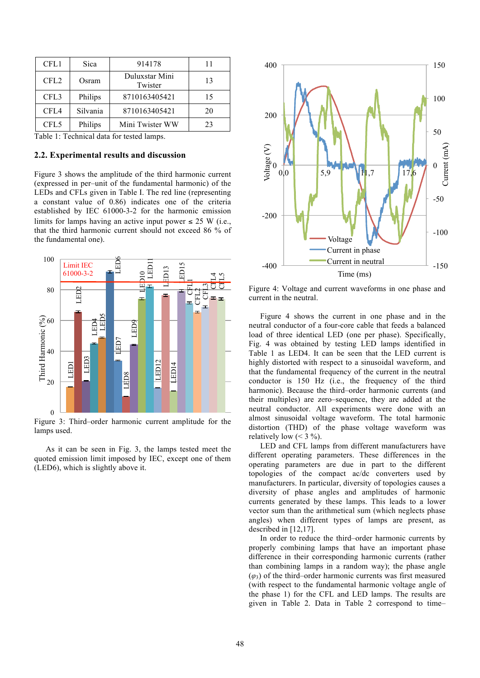| CFL1             | Sica     | 914178                    | 11 |
|------------------|----------|---------------------------|----|
| CFL <sub>2</sub> | Osram    | Duluxstar Mini<br>Twister | 13 |
| CFL <sub>3</sub> | Philips  | 8710163405421             | 15 |
| CFL4             | Silvania | 8710163405421             | 20 |
| CFL <sub>5</sub> | Philips  | Mini Twister WW           | 23 |

Table 1: Technical data for tested lamps.

#### **2.2. Experimental results and discussion**

Figure 3 shows the amplitude of the third harmonic current (expressed in per–unit of the fundamental harmonic) of the LEDs and CFLs given in Table I. The red line (representing a constant value of 0.86) indicates one of the criteria established by IEC 61000-3-2 for the harmonic emission limits for lamps having an active input power  $\leq 25$  W (i.e., that the third harmonic current should not exceed 86 % of the fundamental one).



Figure 3: Third–order harmonic current amplitude for the lamps used.

As it can be seen in Fig. 3, the lamps tested meet the quoted emission limit imposed by IEC, except one of them (LED6), which is slightly above it.



Figure 4: Voltage and current waveforms in one phase and current in the neutral.

Figure 4 shows the current in one phase and in the neutral conductor of a four-core cable that feeds a balanced load of three identical LED (one per phase). Specifically, Fig. 4 was obtained by testing LED lamps identified in Table 1 as LED4. It can be seen that the LED current is highly distorted with respect to a sinusoidal waveform, and that the fundamental frequency of the current in the neutral conductor is 150 Hz (i.e., the frequency of the third harmonic). Because the third–order harmonic currents (and their multiples) are zero–sequence, they are added at the neutral conductor. All experiments were done with an almost sinusoidal voltage waveform. The total harmonic distortion (THD) of the phase voltage waveform was relatively low  $(< 3 %)$ .

LED and CFL lamps from different manufacturers have different operating parameters. These differences in the operating parameters are due in part to the different topologies of the compact ac/dc converters used by manufacturers. In particular, diversity of topologies causes a diversity of phase angles and amplitudes of harmonic currents generated by these lamps. This leads to a lower vector sum than the arithmetical sum (which neglects phase angles) when different types of lamps are present, as described in [12,17].

In order to reduce the third–order harmonic currents by properly combining lamps that have an important phase difference in their corresponding harmonic currents (rather than combining lamps in a random way); the phase angle  $(\varphi_3)$  of the third–order harmonic currents was first measured (with respect to the fundamental harmonic voltage angle of the phase 1) for the CFL and LED lamps. The results are given in Table 2. Data in Table 2 correspond to time–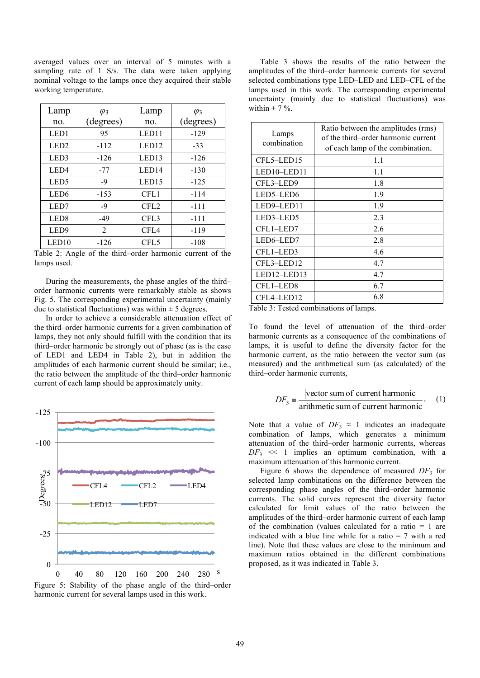averaged values over an interval of 5 minutes with a sampling rate of 1 S/s. The data were taken applying nominal voltage to the lamps once they acquired their stable working temperature.

| Lamp              | $\varphi_3$    | Lamp              | $\varphi_3$ |
|-------------------|----------------|-------------------|-------------|
| no.               | (degrees)      | no.               | (degrees)   |
| LED1              | 95             | LED11             | $-129$      |
| LED <sub>2</sub>  | $-112$         | LED <sub>12</sub> | $-33$       |
| LED3              | $-126$         | LED13             | $-126$      |
| LED <sub>4</sub>  | $-77$          | LED <sub>14</sub> | $-130$      |
| LED <sub>5</sub>  | $-9$           | LED15             | $-125$      |
| LED <sub>6</sub>  | $-153$         | CFL1              | $-114$      |
| LED7              | $-9$           | CFI.2             | $-111$      |
| LED <sub>8</sub>  | $-49$          | CFL <sub>3</sub>  | $-111$      |
| LED <sub>9</sub>  | $\overline{2}$ | CFL4              | $-119$      |
| LED <sub>10</sub> | $-126$         | CFL <sub>5</sub>  | $-108$      |

Table 2: Angle of the third–order harmonic current of the lamps used.

During the measurements, the phase angles of the third– order harmonic currents were remarkably stable as shows Fig. 5. The corresponding experimental uncertainty (mainly due to statistical fluctuations) was within  $\pm$  5 degrees.

In order to achieve a considerable attenuation effect of the third–order harmonic currents for a given combination of lamps, they not only should fulfill with the condition that its third–order harmonic be strongly out of phase (as is the case of LED1 and LED4 in Table 2), but in addition the amplitudes of each harmonic current should be similar; i.e., the ratio between the amplitude of the third–order harmonic current of each lamp should be approximately unity.



Figure 5: Stability of the phase angle of the third–order harmonic current for several lamps used in this work.

Table 3 shows the results of the ratio between the amplitudes of the third–order harmonic currents for several selected combinations type LED–LED and LED–CFL of the lamps used in this work. The corresponding experimental uncertainty (mainly due to statistical fluctuations) was within  $\pm$  7 %.

| Lamps<br>combination | Ratio between the amplitudes (rms)<br>of the third-order harmonic current<br>of each lamp of the combination. |
|----------------------|---------------------------------------------------------------------------------------------------------------|
| CFL5-LED15           | 1.1                                                                                                           |
| $LED10 - LED11$      | 1.1                                                                                                           |
| CFL3-LED9            | 1.8                                                                                                           |
| LED5-LED6            | 1.9                                                                                                           |
| LED9-LED11           | 1.9                                                                                                           |
| LED3-LED5            | 2.3                                                                                                           |
| CFL1-LED7            | 2.6                                                                                                           |
| LED6-LED7            | 2.8                                                                                                           |
| CFL1-LED3            | 4.6                                                                                                           |
| CFL3-LED12           | 4.7                                                                                                           |
| LED12–LED13          | 4.7                                                                                                           |
| CFL1-LED8            | 6.7                                                                                                           |
| CFL4-LED12           | 6.8                                                                                                           |

Table 3: Tested combinations of lamps.

To found the level of attenuation of the third–order harmonic currents as a consequence of the combinations of lamps, it is useful to define the diversity factor for the harmonic current, as the ratio between the vector sum (as measured) and the arithmetical sum (as calculated) of the third–order harmonic currents,

$$
DF_3 = \frac{|\text{vector sum of current harmonic}|}{\text{arithmetic sum of current harmonic}}.
$$
 (1)

Note that a value of  $DF_3 \approx 1$  indicates an inadequate combination of lamps, which generates a minimum attenuation of the third–order harmonic currents, whereas  $DF_3 \leq 1$  implies an optimum combination, with a maximum attenuation of this harmonic current.

Figure 6 shows the dependence of measured  $DF_3$  for selected lamp combinations on the difference between the corresponding phase angles of the third–order harmonic currents. The solid curves represent the diversity factor calculated for limit values of the ratio between the amplitudes of the third–order harmonic current of each lamp of the combination (values calculated for a ratio = 1 are indicated with a blue line while for a ratio  $= 7$  with a red line). Note that these values are close to the minimum and maximum ratios obtained in the different combinations proposed, as it was indicated in Table 3.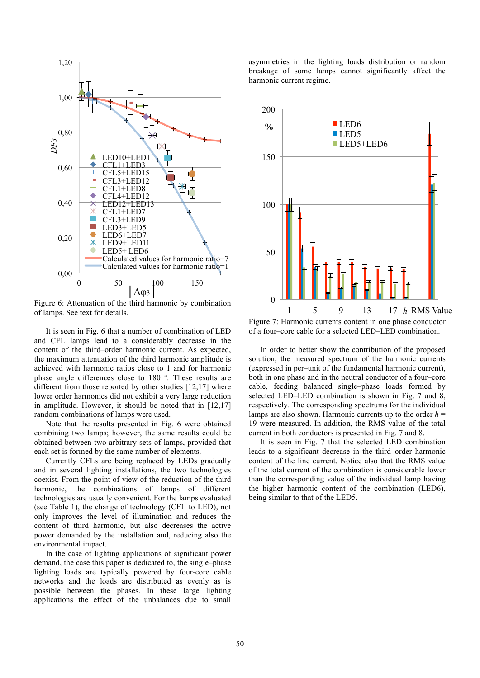

Figure 6: Attenuation of the third harmonic by combination of lamps. See text for details.

It is seen in Fig. 6 that a number of combination of LED and CFL lamps lead to a considerably decrease in the content of the third–order harmonic current. As expected, the maximum attenuation of the third harmonic amplitude is achieved with harmonic ratios close to 1 and for harmonic phase angle differences close to 180 º. These results are different from those reported by other studies [12,17] where lower order harmonics did not exhibit a very large reduction in amplitude. However, it should be noted that in [12,17] random combinations of lamps were used.

Note that the results presented in Fig. 6 were obtained combining two lamps; however, the same results could be obtained between two arbitrary sets of lamps, provided that each set is formed by the same number of elements.

Currently CFLs are being replaced by LEDs gradually and in several lighting installations, the two technologies coexist. From the point of view of the reduction of the third harmonic, the combinations of lamps of different technologies are usually convenient. For the lamps evaluated (see Table 1), the change of technology (CFL to LED), not only improves the level of illumination and reduces the content of third harmonic, but also decreases the active power demanded by the installation and, reducing also the environmental impact.

In the case of lighting applications of significant power demand, the case this paper is dedicated to, the single–phase lighting loads are typically powered by four-core cable networks and the loads are distributed as evenly as is possible between the phases. In these large lighting applications the effect of the unbalances due to small

asymmetries in the lighting loads distribution or random breakage of some lamps cannot significantly affect the harmonic current regime.



Figure 7: Harmonic currents content in one phase conductor of a four–core cable for a selected LED–LED combination.

In order to better show the contribution of the proposed solution, the measured spectrum of the harmonic currents (expressed in per–unit of the fundamental harmonic current), both in one phase and in the neutral conductor of a four–core cable, feeding balanced single–phase loads formed by selected LED–LED combination is shown in Fig. 7 and 8, respectively. The corresponding spectrums for the individual lamps are also shown. Harmonic currents up to the order  $h =$ 19 were measured. In addition, the RMS value of the total current in both conductors is presented in Fig. 7 and 8.

It is seen in Fig. 7 that the selected LED combination leads to a significant decrease in the third–order harmonic content of the line current. Notice also that the RMS value of the total current of the combination is considerable lower than the corresponding value of the individual lamp having the higher harmonic content of the combination (LED6), being similar to that of the LED5.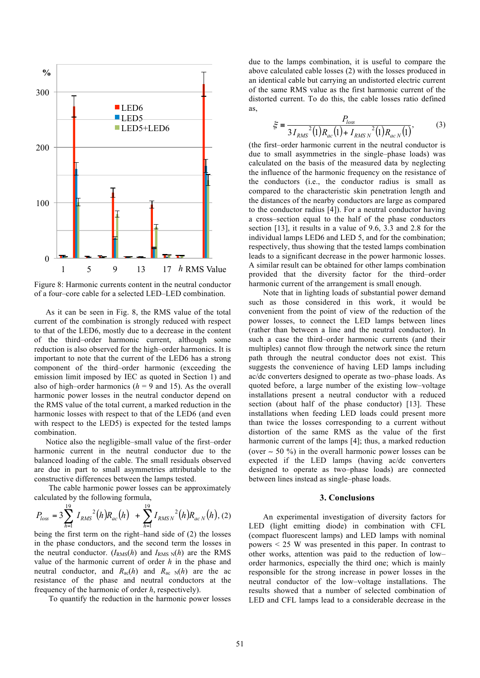

Figure 8: Harmonic currents content in the neutral conductor of a four–core cable for a selected LED–LED combination.

As it can be seen in Fig. 8, the RMS value of the total current of the combination is strongly reduced with respect to that of the LED6, mostly due to a decrease in the content of the third–order harmonic current, although some reduction is also observed for the high–order harmonics. It is important to note that the current of the LED6 has a strong component of the third–order harmonic (exceeding the emission limit imposed by IEC as quoted in Section 1) and also of high–order harmonics  $(h = 9$  and 15). As the overall harmonic power losses in the neutral conductor depend on the RMS value of the total current, a marked reduction in the harmonic losses with respect to that of the LED6 (and even with respect to the LED5) is expected for the tested lamps combination.

Notice also the negligible–small value of the first–order harmonic current in the neutral conductor due to the balanced loading of the cable. The small residuals observed are due in part to small asymmetries attributable to the constructive differences between the lamps tested.

The cable harmonic power losses can be approximately calculated by the following formula,

$$
P_{loss} = 3 \sum_{h=1}^{19} I_{RMS}^{2}(h) R_{ac}(h) + \sum_{h=1}^{19} I_{RMSN}^{2}(h) R_{acN}(h), (2)
$$

being the first term on the right–hand side of (2) the losses in the phase conductors, and the second term the losses in the neutral conductor.  $(I_{RMS}(h)$  and  $I_{RMSN}(h)$  are the RMS value of the harmonic current of order *h* in the phase and neutral conductor, and  $R_{ac}(h)$  and  $R_{ac}(\theta)$  are the ac resistance of the phase and neutral conductors at the frequency of the harmonic of order *h*, respectively).

To quantify the reduction in the harmonic power losses

due to the lamps combination, it is useful to compare the above calculated cable losses (2) with the losses produced in an identical cable but carrying an undistorted electric current of the same RMS value as the first harmonic current of the distorted current. To do this, the cable losses ratio defined as,

$$
\tilde{\mathcal{E}} = \frac{P_{loss}}{3I_{RMS}^2(1)R_{ac}(1) + I_{RMSN}^2(1)R_{acN}(1)},
$$
(3)

(the first–order harmonic current in the neutral conductor is due to small asymmetries in the single–phase loads) was calculated on the basis of the measured data by neglecting the influence of the harmonic frequency on the resistance of the conductors (i.e., the conductor radius is small as compared to the characteristic skin penetration length and the distances of the nearby conductors are large as compared to the conductor radius [4]). For a neutral conductor having a cross–section equal to the half of the phase conductors section [13], it results in a value of 9.6, 3.3 and 2.8 for the individual lamps LED6 and LED 5, and for the combination; respectively, thus showing that the tested lamps combination leads to a significant decrease in the power harmonic losses. A similar result can be obtained for other lamps combination provided that the diversity factor for the third–order harmonic current of the arrangement is small enough.

Note that in lighting loads of substantial power demand such as those considered in this work, it would be convenient from the point of view of the reduction of the power losses, to connect the LED lamps between lines (rather than between a line and the neutral conductor). In such a case the third–order harmonic currents (and their multiples) cannot flow through the network since the return path through the neutral conductor does not exist. This suggests the convenience of having LED lamps including ac/dc converters designed to operate as two–phase loads. As quoted before, a large number of the existing low–voltage installations present a neutral conductor with a reduced section (about half of the phase conductor) [13]. These installations when feeding LED loads could present more than twice the losses corresponding to a current without distortion of the same RMS as the value of the first harmonic current of the lamps [4]; thus, a marked reduction (over ∼ 50 %) in the overall harmonic power losses can be expected if the LED lamps (having ac/dc converters designed to operate as two–phase loads) are connected between lines instead as single–phase loads.

#### **3. Conclusions**

An experimental investigation of diversity factors for LED (light emitting diode) in combination with CFL (compact fluorescent lamps) and LED lamps with nominal powers < 25 W was presented in this paper. In contrast to other works, attention was paid to the reduction of low– order harmonics, especially the third one; which is mainly responsible for the strong increase in power losses in the neutral conductor of the low–voltage installations. The results showed that a number of selected combination of LED and CFL lamps lead to a considerable decrease in the